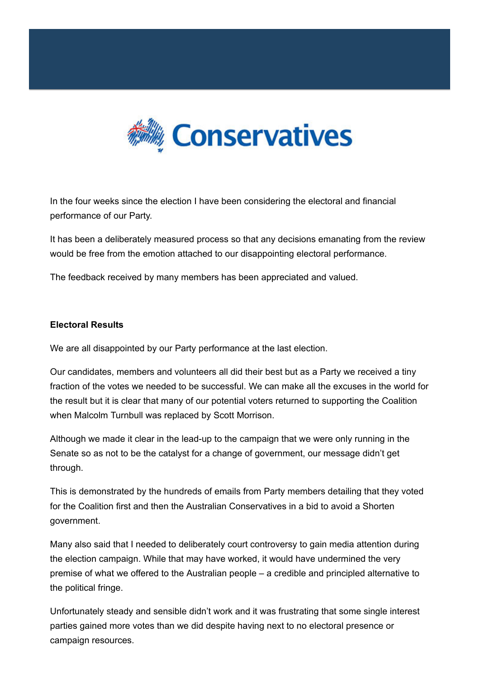

In the four weeks since the election I have been considering the electoral and financial performance of our Party.

It has been a deliberately measured process so that any decisions emanating from the review would be free from the emotion attached to our disappointing electoral performance.

The feedback received by many members has been appreciated and valued.

## **Electoral Results**

We are all disappointed by our Party performance at the last election.

Our candidates, members and volunteers all did their best but as a Party we received a tiny fraction of the votes we needed to be successful. We can make all the excuses in the world for the result but it is clear that many of our potential voters returned to supporting the Coalition when Malcolm Turnbull was replaced by Scott Morrison.

Although we made it clear in the lead-up to the campaign that we were only running in the Senate so as not to be the catalyst for a change of government, our message didn't get through.

This is demonstrated by the hundreds of emails from Party members detailing that they voted for the Coalition first and then the Australian Conservatives in a bid to avoid a Shorten government.

Many also said that I needed to deliberately court controversy to gain media attention during the election campaign. While that may have worked, it would have undermined the very premise of what we offered to the Australian people – a credible and principled alternative to the political fringe.

Unfortunately steady and sensible didn't work and it was frustrating that some single interest parties gained more votes than we did despite having next to no electoral presence or campaign resources.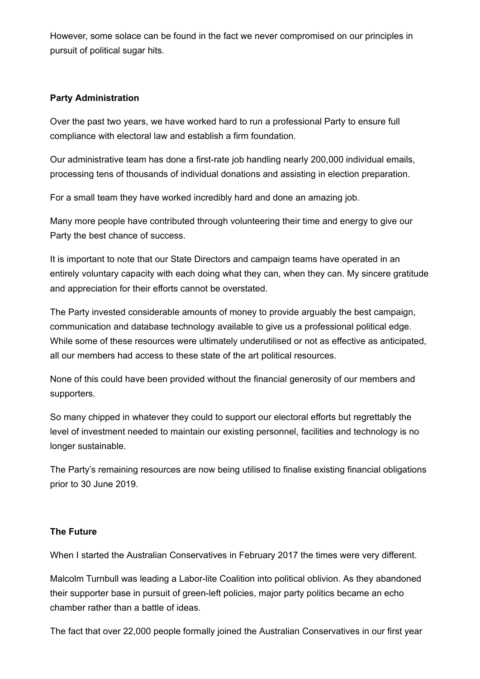However, some solace can be found in the fact we never compromised on our principles in pursuit of political sugar hits.

## **Party Administration**

Over the past two years, we have worked hard to run a professional Party to ensure full compliance with electoral law and establish a firm foundation.

Our administrative team has done a first-rate job handling nearly 200,000 individual emails, processing tens of thousands of individual donations and assisting in election preparation.

For a small team they have worked incredibly hard and done an amazing job.

Many more people have contributed through volunteering their time and energy to give our Party the best chance of success.

It is important to note that our State Directors and campaign teams have operated in an entirely voluntary capacity with each doing what they can, when they can. My sincere gratitude and appreciation for their efforts cannot be overstated.

The Party invested considerable amounts of money to provide arguably the best campaign, communication and database technology available to give us a professional political edge. While some of these resources were ultimately underutilised or not as effective as anticipated, all our members had access to these state of the art political resources.

None of this could have been provided without the financial generosity of our members and supporters.

So many chipped in whatever they could to support our electoral efforts but regrettably the level of investment needed to maintain our existing personnel, facilities and technology is no longer sustainable.

The Party's remaining resources are now being utilised to finalise existing financial obligations prior to 30 June 2019.

## **The Future**

When I started the Australian Conservatives in February 2017 the times were very different.

Malcolm Turnbull was leading a Labor-lite Coalition into political oblivion. As they abandoned their supporter base in pursuit of green-left policies, major party politics became an echo chamber rather than a battle of ideas.

The fact that over 22,000 people formally joined the Australian Conservatives in our first year